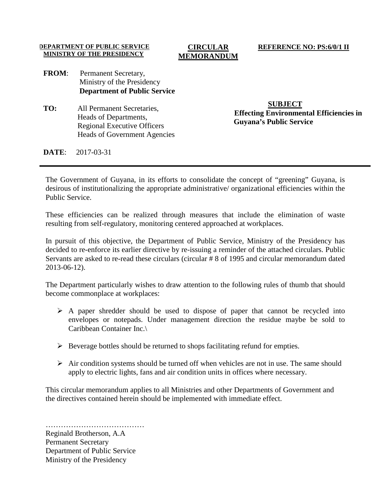#### **DEPARTMENT OF PUBLIC SERVICE MINISTRY OF THE PRESIDENCY**

#### **CIRCULAR MEMORANDUM**

#### **REFERENCE NO: PS:6/0/1 II**

## **FROM**: Permanent Secretary, Ministry of the Presidency **Department of Public Service**

**TO:** All Permanent Secretaries, Heads of Departments, Regional Executive Officers Heads of Government Agencies

**SUBJECT Effecting Environmental Efficiencies in Guyana's Public Service**

**DATE**: 2017-03-31

The Government of Guyana, in its efforts to consolidate the concept of "greening" Guyana, is desirous of institutionalizing the appropriate administrative/ organizational efficiencies within the Public Service.

These efficiencies can be realized through measures that include the elimination of waste resulting from self-regulatory, monitoring centered approached at workplaces.

In pursuit of this objective, the Department of Public Service, Ministry of the Presidency has decided to re-enforce its earlier directive by re-issuing a reminder of the attached circulars. Public Servants are asked to re-read these circulars (circular # 8 of 1995 and circular memorandum dated 2013-06-12).

The Department particularly wishes to draw attention to the following rules of thumb that should become commonplace at workplaces:

- $\triangleright$  A paper shredder should be used to dispose of paper that cannot be recycled into envelopes or notepads. Under management direction the residue maybe be sold to Caribbean Container Inc.\
- $\triangleright$  Beverage bottles should be returned to shops facilitating refund for empties.
- $\triangleright$  Air condition systems should be turned off when vehicles are not in use. The same should apply to electric lights, fans and air condition units in offices where necessary.

This circular memorandum applies to all Ministries and other Departments of Government and the directives contained herein should be implemented with immediate effect.

……………………………………………… Reginald Brotherson, A.A Permanent Secretary Department of Public Service Ministry of the Presidency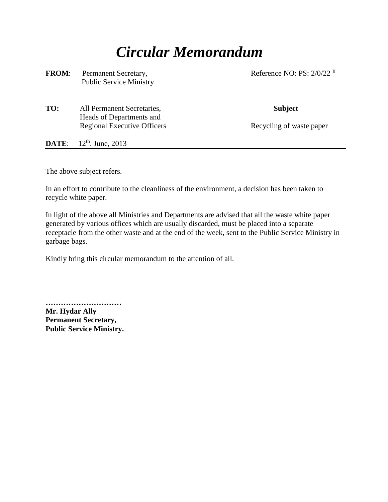# *Circular Memorandum*

| <b>FROM:</b> | Permanent Secretary,<br><b>Public Service Ministry</b> | Reference NO: PS: $2/0/22$ <sup>II</sup> |
|--------------|--------------------------------------------------------|------------------------------------------|
| TO:          | All Permanent Secretaries,<br>Heads of Departments and | <b>Subject</b>                           |
|              | <b>Regional Executive Officers</b>                     | Recycling of waste paper                 |
| DATE:        | $12^{th}$ . June, 2013                                 |                                          |

The above subject refers.

In an effort to contribute to the cleanliness of the environment, a decision has been taken to recycle white paper.

In light of the above all Ministries and Departments are advised that all the waste white paper generated by various offices which are usually discarded, must be placed into a separate receptacle from the other waste and at the end of the week, sent to the Public Service Ministry in garbage bags.

Kindly bring this circular memorandum to the attention of all.

**………………………… Mr. Hydar Ally Permanent Secretary, Public Service Ministry.**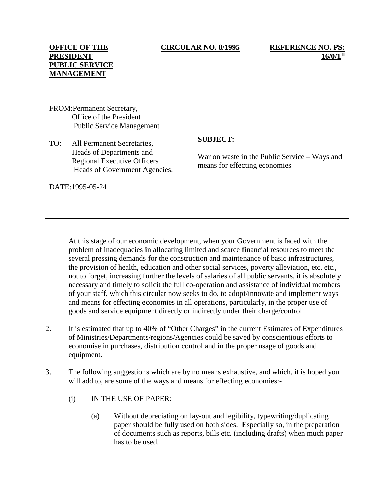#### **CIRCULAR NO. 8/1995 REFERENCE NO. PS:**

**16/0/1** 

- FROM:Permanent Secretary, Office of the President Public Service Management
- TO: All Permanent Secretaries, Heads of Departments and Regional Executive Officers Heads of Government Agencies.

# **SUBJECT:**

War on waste in the Public Service – Ways and means for effecting economies

DATE:1995-05-24

At this stage of our economic development, when your Government is faced with the problem of inadequacies in allocating limited and scarce financial resources to meet the several pressing demands for the construction and maintenance of basic infrastructures, the provision of health, education and other social services, poverty alleviation, etc. etc., not to forget, increasing further the levels of salaries of all public servants, it is absolutely necessary and timely to solicit the full co-operation and assistance of individual members of your staff, which this circular now seeks to do, to adopt/innovate and implement ways and means for effecting economies in all operations, particularly, in the proper use of goods and service equipment directly or indirectly under their charge/control.

- 2. It is estimated that up to 40% of "Other Charges" in the current Estimates of Expenditures of Ministries/Departments/regions/Agencies could be saved by conscientious efforts to economise in purchases, distribution control and in the proper usage of goods and equipment.
- 3. The following suggestions which are by no means exhaustive, and which, it is hoped you will add to, are some of the ways and means for effecting economies:-
	- (i) IN THE USE OF PAPER:
		- (a) Without depreciating on lay-out and legibility, typewriting/duplicating paper should be fully used on both sides. Especially so, in the preparation of documents such as reports, bills etc. (including drafts) when much paper has to be used.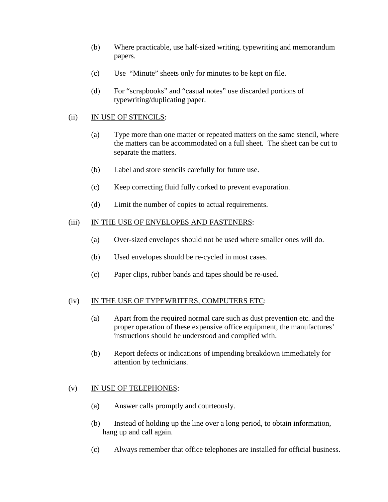- (b) Where practicable, use half-sized writing, typewriting and memorandum papers.
- (c) Use "Minute" sheets only for minutes to be kept on file.
- (d) For "scrapbooks" and "casual notes" use discarded portions of typewriting/duplicating paper.

## (ii) IN USE OF STENCILS:

- (a) Type more than one matter or repeated matters on the same stencil, where the matters can be accommodated on a full sheet. The sheet can be cut to separate the matters.
- (b) Label and store stencils carefully for future use.
- (c) Keep correcting fluid fully corked to prevent evaporation.
- (d) Limit the number of copies to actual requirements.

#### (iii) IN THE USE OF ENVELOPES AND FASTENERS:

- (a) Over-sized envelopes should not be used where smaller ones will do.
- (b) Used envelopes should be re-cycled in most cases.
- (c) Paper clips, rubber bands and tapes should be re-used.

#### (iv) IN THE USE OF TYPEWRITERS, COMPUTERS ETC:

- (a) Apart from the required normal care such as dust prevention etc. and the proper operation of these expensive office equipment, the manufactures' instructions should be understood and complied with.
- (b) Report defects or indications of impending breakdown immediately for attention by technicians.

## (v) IN USE OF TELEPHONES:

- (a) Answer calls promptly and courteously.
- (b) Instead of holding up the line over a long period, to obtain information, hang up and call again.
- (c) Always remember that office telephones are installed for official business.